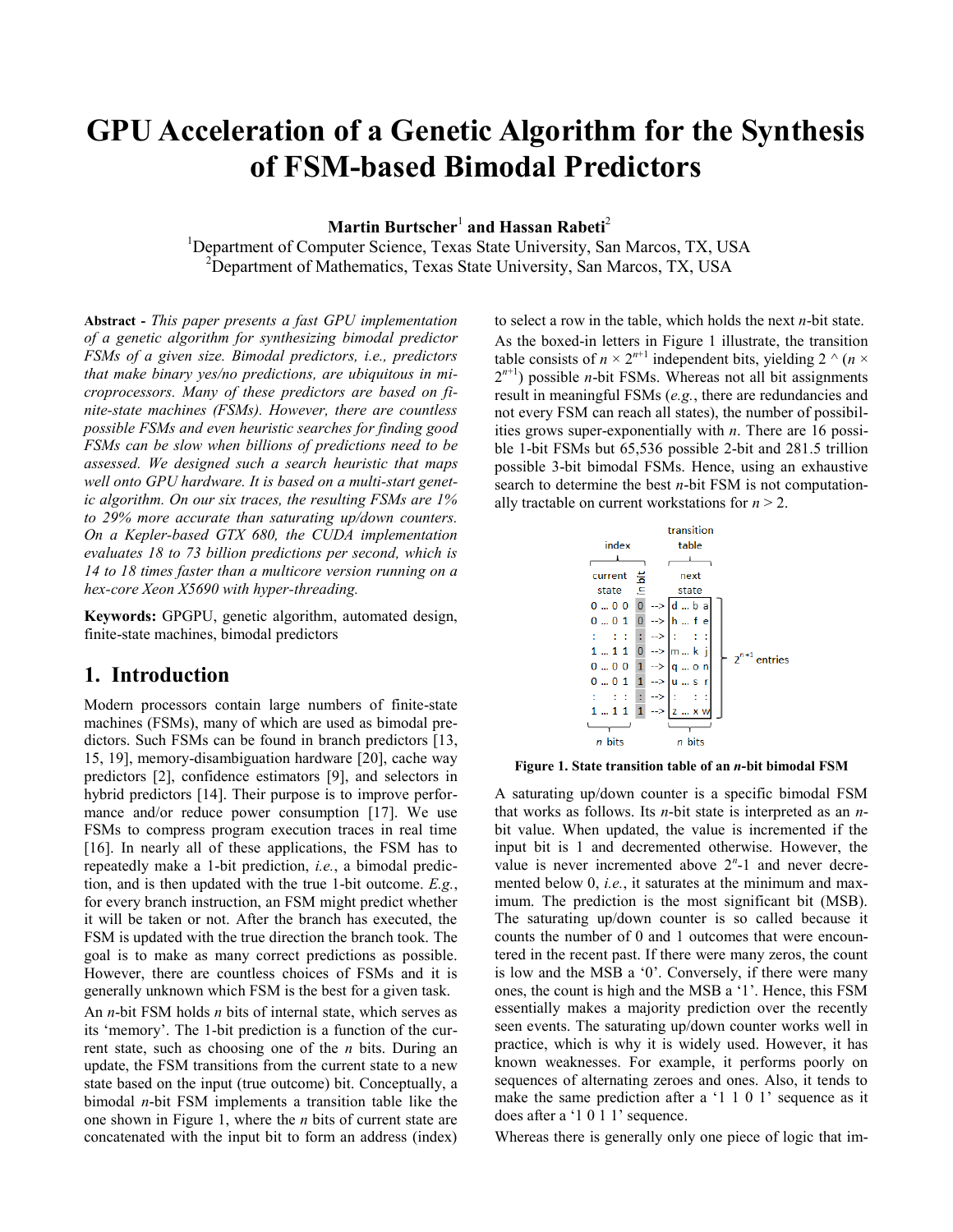# **GPU Acceleration of a Genetic Algorithm for the Synthesis of FSM-based Bimodal Predictors**

**Martin Burtscher**<sup>1</sup> **and Hassan Rabeti**<sup>2</sup>

<sup>1</sup>Department of Computer Science, Texas State University, San Marcos, TX, USA  $2^2$ Department of Mathematics, Texas State University, San Marcos, TX, USA

**Abstract -** *This paper presents a fast GPU implementation of a genetic algorithm for synthesizing bimodal predictor FSMs of a given size. Bimodal predictors, i.e., predictors that make binary yes/no predictions, are ubiquitous in microprocessors. Many of these predictors are based on finite-state machines (FSMs). However, there are countless possible FSMs and even heuristic searches for finding good FSMs can be slow when billions of predictions need to be assessed. We designed such a search heuristic that maps well onto GPU hardware. It is based on a multi-start genetic algorithm. On our six traces, the resulting FSMs are 1% to 29% more accurate than saturating up/down counters. On a Kepler-based GTX 680, the CUDA implementation evaluates 18 to 73 billion predictions per second, which is 14 to 18 times faster than a multicore version running on a hex-core Xeon X5690 with hyper-threading.*

**Keywords:** GPGPU, genetic algorithm, automated design, finite-state machines, bimodal predictors

### **1. Introduction**

Modern processors contain large numbers of finite-state machines (FSMs), many of which are used as bimodal predictors. Such FSMs can be found in branch predictors [13, 15, 19], memory-disambiguation hardware [20], cache way predictors [2], confidence estimators [9], and selectors in hybrid predictors [14]. Their purpose is to improve performance and/or reduce power consumption [17]. We use FSMs to compress program execution traces in real time [16]. In nearly all of these applications, the FSM has to repeatedly make a 1-bit prediction, *i.e.*, a bimodal prediction, and is then updated with the true 1-bit outcome. *E.g.*, for every branch instruction, an FSM might predict whether it will be taken or not. After the branch has executed, the FSM is updated with the true direction the branch took. The goal is to make as many correct predictions as possible. However, there are countless choices of FSMs and it is generally unknown which FSM is the best for a given task.

An *n*-bit FSM holds *n* bits of internal state, which serves as its 'memory'. The 1-bit prediction is a function of the current state, such as choosing one of the *n* bits. During an update, the FSM transitions from the current state to a new state based on the input (true outcome) bit. Conceptually, a bimodal *n*-bit FSM implements a transition table like the one shown in [Figure 1,](#page-0-0) where the *n* bits of current state are concatenated with the input bit to form an address (index)

to select a row in the table, which holds the next *n*-bit state. As the boxed-in letters in [Figure 1](#page-0-0) illustrate, the transition table consists of  $n \times 2^{n+1}$  independent bits, yielding 2  $\wedge$  (*n*  $\times$  $2^{n+1}$ ) possible *n*-bit FSMs. Whereas not all bit assignments result in meaningful FSMs (*e.g.*, there are redundancies and not every FSM can reach all states), the number of possibilities grows super-exponentially with *n*. There are 16 possible 1-bit FSMs but 65,536 possible 2-bit and 281.5 trillion possible 3-bit bimodal FSMs. Hence, using an exhaustive search to determine the best *n*-bit FSM is not computationally tractable on current workstations for  $n > 2$ .



<span id="page-0-0"></span>**Figure 1. State transition table of an** *n***-bit bimodal FSM**

A saturating up/down counter is a specific bimodal FSM that works as follows. Its *n*-bit state is interpreted as an *n*bit value. When updated, the value is incremented if the input bit is 1 and decremented otherwise. However, the value is never incremented above  $2<sup>n</sup>$ -1 and never decremented below 0, *i.e.*, it saturates at the minimum and maximum. The prediction is the most significant bit (MSB). The saturating up/down counter is so called because it counts the number of 0 and 1 outcomes that were encountered in the recent past. If there were many zeros, the count is low and the MSB a '0'. Conversely, if there were many ones, the count is high and the MSB a '1'. Hence, this FSM essentially makes a majority prediction over the recently seen events. The saturating up/down counter works well in practice, which is why it is widely used. However, it has known weaknesses. For example, it performs poorly on sequences of alternating zeroes and ones. Also, it tends to make the same prediction after a '1 1 0 1' sequence as it does after a '1 0 1 1' sequence.

Whereas there is generally only one piece of logic that im-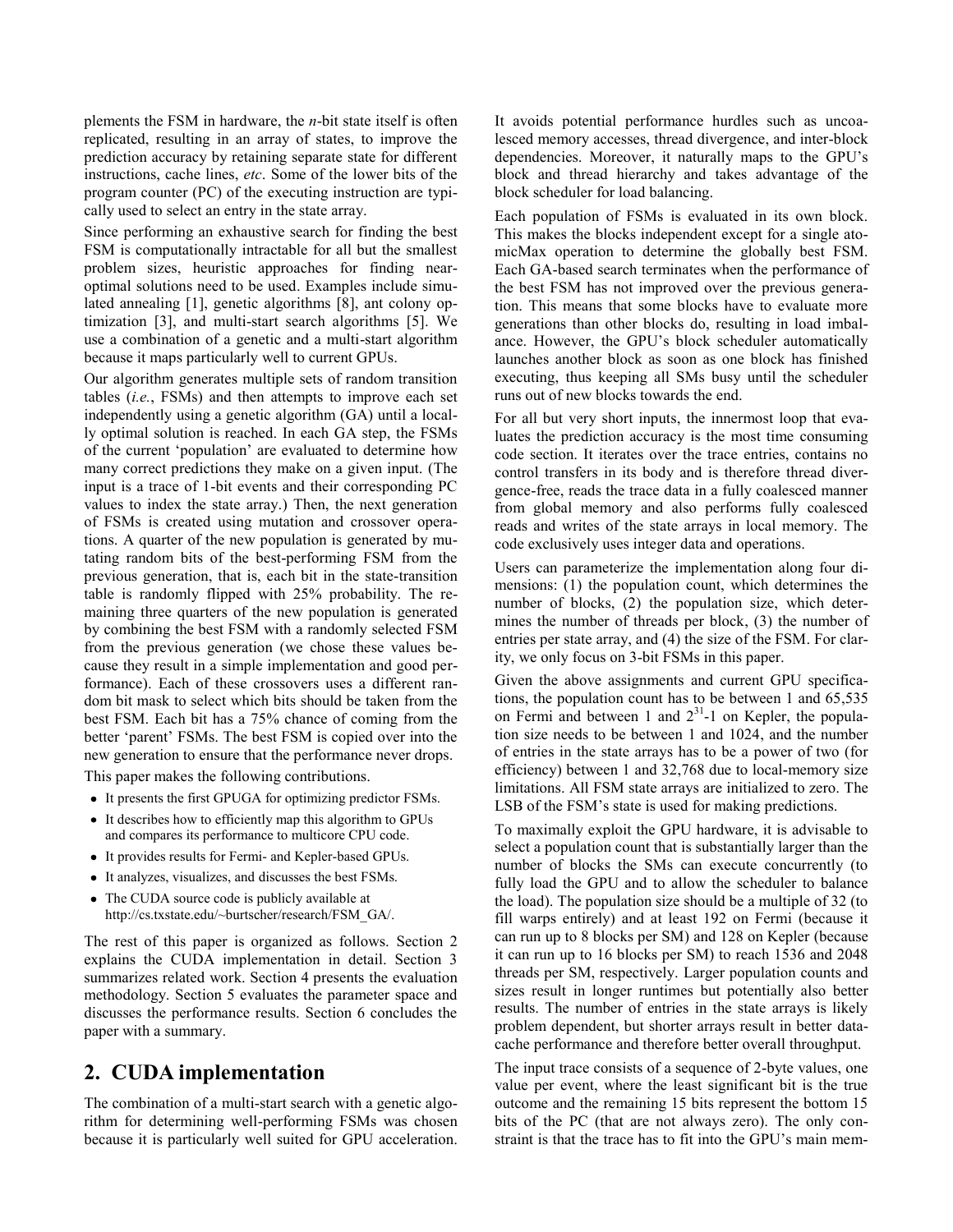plements the FSM in hardware, the *n*-bit state itself is often replicated, resulting in an array of states, to improve the prediction accuracy by retaining separate state for different instructions, cache lines, *etc*. Some of the lower bits of the program counter (PC) of the executing instruction are typically used to select an entry in the state array.

Since performing an exhaustive search for finding the best FSM is computationally intractable for all but the smallest problem sizes, heuristic approaches for finding nearoptimal solutions need to be used. Examples include simulated annealing [1], genetic algorithms [8], ant colony optimization [3], and multi-start search algorithms [5]. We use a combination of a genetic and a multi-start algorithm because it maps particularly well to current GPUs.

Our algorithm generates multiple sets of random transition tables (*i.e.*, FSMs) and then attempts to improve each set independently using a genetic algorithm (GA) until a locally optimal solution is reached. In each GA step, the FSMs of the current 'population' are evaluated to determine how many correct predictions they make on a given input. (The input is a trace of 1-bit events and their corresponding PC values to index the state array.) Then, the next generation of FSMs is created using mutation and crossover operations. A quarter of the new population is generated by mutating random bits of the best-performing FSM from the previous generation, that is, each bit in the state-transition table is randomly flipped with 25% probability. The remaining three quarters of the new population is generated by combining the best FSM with a randomly selected FSM from the previous generation (we chose these values because they result in a simple implementation and good performance). Each of these crossovers uses a different random bit mask to select which bits should be taken from the best FSM. Each bit has a 75% chance of coming from the better 'parent' FSMs. The best FSM is copied over into the new generation to ensure that the performance never drops.

This paper makes the following contributions.

- It presents the first GPUGA for optimizing predictor FSMs.
- It describes how to efficiently map this algorithm to GPUs and compares its performance to multicore CPU code.
- It provides results for Fermi- and Kepler-based GPUs.
- It analyzes, visualizes, and discusses the best FSMs.
- The CUDA source code is publicly available at http://cs.txstate.edu/~burtscher/research/FSM\_GA/.

The rest of this paper is organized as follows. Section 2 explains the CUDA implementation in detail. Section 3 summarizes related work. Section 4 presents the evaluation methodology. Section 5 evaluates the parameter space and discusses the performance results. Section 6 concludes the paper with a summary.

# **2. CUDA implementation**

The combination of a multi-start search with a genetic algorithm for determining well-performing FSMs was chosen because it is particularly well suited for GPU acceleration.

It avoids potential performance hurdles such as uncoalesced memory accesses, thread divergence, and inter-block dependencies. Moreover, it naturally maps to the GPU's block and thread hierarchy and takes advantage of the block scheduler for load balancing.

Each population of FSMs is evaluated in its own block. This makes the blocks independent except for a single atomicMax operation to determine the globally best FSM. Each GA-based search terminates when the performance of the best FSM has not improved over the previous generation. This means that some blocks have to evaluate more generations than other blocks do, resulting in load imbalance. However, the GPU's block scheduler automatically launches another block as soon as one block has finished executing, thus keeping all SMs busy until the scheduler runs out of new blocks towards the end.

For all but very short inputs, the innermost loop that evaluates the prediction accuracy is the most time consuming code section. It iterates over the trace entries, contains no control transfers in its body and is therefore thread divergence-free, reads the trace data in a fully coalesced manner from global memory and also performs fully coalesced reads and writes of the state arrays in local memory. The code exclusively uses integer data and operations.

Users can parameterize the implementation along four dimensions: (1) the population count, which determines the number of blocks, (2) the population size, which determines the number of threads per block, (3) the number of entries per state array, and (4) the size of the FSM. For clarity, we only focus on 3-bit FSMs in this paper.

Given the above assignments and current GPU specifications, the population count has to be between 1 and 65,535 on Fermi and between 1 and  $2^{31}$ -1 on Kepler, the population size needs to be between 1 and 1024, and the number of entries in the state arrays has to be a power of two (for efficiency) between 1 and 32,768 due to local-memory size limitations. All FSM state arrays are initialized to zero. The LSB of the FSM's state is used for making predictions.

To maximally exploit the GPU hardware, it is advisable to select a population count that is substantially larger than the number of blocks the SMs can execute concurrently (to fully load the GPU and to allow the scheduler to balance the load). The population size should be a multiple of 32 (to fill warps entirely) and at least 192 on Fermi (because it can run up to 8 blocks per SM) and 128 on Kepler (because it can run up to 16 blocks per SM) to reach 1536 and 2048 threads per SM, respectively. Larger population counts and sizes result in longer runtimes but potentially also better results. The number of entries in the state arrays is likely problem dependent, but shorter arrays result in better datacache performance and therefore better overall throughput.

The input trace consists of a sequence of 2-byte values, one value per event, where the least significant bit is the true outcome and the remaining 15 bits represent the bottom 15 bits of the PC (that are not always zero). The only constraint is that the trace has to fit into the GPU's main mem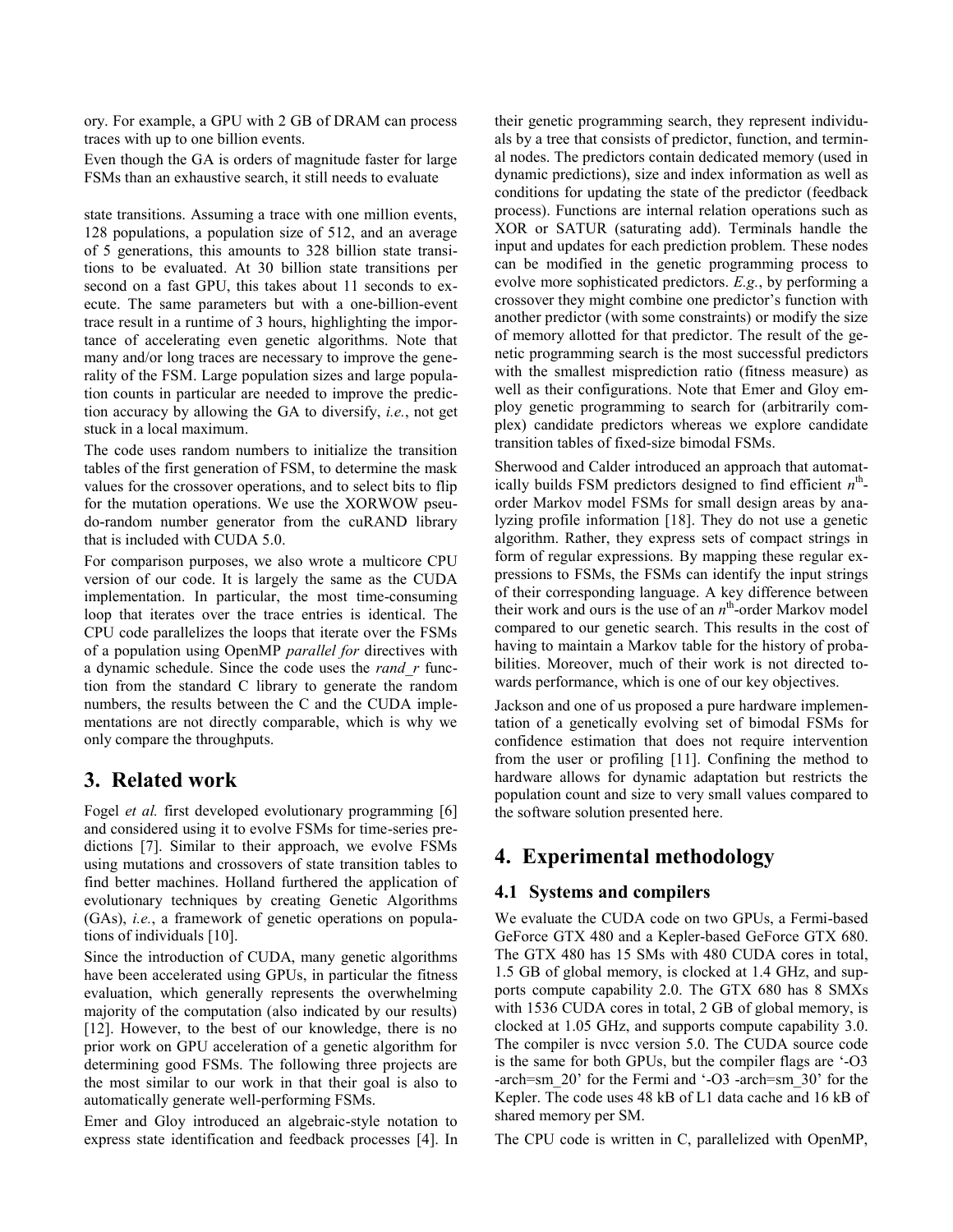ory. For example, a GPU with 2 GB of DRAM can process traces with up to one billion events.

Even though the GA is orders of magnitude faster for large FSMs than an exhaustive search, it still needs to evaluate

state transitions. Assuming a trace with one million events, 128 populations, a population size of 512, and an average of 5 generations, this amounts to 328 billion state transitions to be evaluated. At 30 billion state transitions per second on a fast GPU, this takes about 11 seconds to execute. The same parameters but with a one-billion-event trace result in a runtime of 3 hours, highlighting the importance of accelerating even genetic algorithms. Note that many and/or long traces are necessary to improve the generality of the FSM. Large population sizes and large population counts in particular are needed to improve the prediction accuracy by allowing the GA to diversify, *i.e.*, not get stuck in a local maximum.

The code uses random numbers to initialize the transition tables of the first generation of FSM, to determine the mask values for the crossover operations, and to select bits to flip for the mutation operations. We use the XORWOW pseudo-random number generator from the cuRAND library that is included with CUDA 5.0.

For comparison purposes, we also wrote a multicore CPU version of our code. It is largely the same as the CUDA implementation. In particular, the most time-consuming loop that iterates over the trace entries is identical. The CPU code parallelizes the loops that iterate over the FSMs of a population using OpenMP *parallel for* directives with a dynamic schedule. Since the code uses the *rand\_r* function from the standard C library to generate the random numbers, the results between the C and the CUDA implementations are not directly comparable, which is why we only compare the throughputs.

# **3. Related work**

Fogel *et al.* first developed evolutionary programming [6] and considered using it to evolve FSMs for time-series predictions [7]. Similar to their approach, we evolve FSMs using mutations and crossovers of state transition tables to find better machines. Holland furthered the application of evolutionary techniques by creating Genetic Algorithms (GAs), *i.e.*, a framework of genetic operations on populations of individuals [10].

Since the introduction of CUDA, many genetic algorithms have been accelerated using GPUs, in particular the fitness evaluation, which generally represents the overwhelming majority of the computation (also indicated by our results) [12]. However, to the best of our knowledge, there is no prior work on GPU acceleration of a genetic algorithm for determining good FSMs. The following three projects are the most similar to our work in that their goal is also to automatically generate well-performing FSMs.

Emer and Gloy introduced an algebraic-style notation to express state identification and feedback processes [4]. In their genetic programming search, they represent individuals by a tree that consists of predictor, function, and terminal nodes. The predictors contain dedicated memory (used in dynamic predictions), size and index information as well as conditions for updating the state of the predictor (feedback process). Functions are internal relation operations such as XOR or SATUR (saturating add). Terminals handle the input and updates for each prediction problem. These nodes can be modified in the genetic programming process to evolve more sophisticated predictors. *E.g.*, by performing a crossover they might combine one predictor's function with another predictor (with some constraints) or modify the size of memory allotted for that predictor. The result of the genetic programming search is the most successful predictors with the smallest misprediction ratio (fitness measure) as well as their configurations. Note that Emer and Gloy employ genetic programming to search for (arbitrarily complex) candidate predictors whereas we explore candidate transition tables of fixed-size bimodal FSMs.

Sherwood and Calder introduced an approach that automatically builds FSM predictors designed to find efficient  $n^{\text{th}}$ order Markov model FSMs for small design areas by analyzing profile information [18]. They do not use a genetic algorithm. Rather, they express sets of compact strings in form of regular expressions. By mapping these regular expressions to FSMs, the FSMs can identify the input strings of their corresponding language. A key difference between their work and ours is the use of an  $n^{\text{th}}$ -order Markov model compared to our genetic search. This results in the cost of having to maintain a Markov table for the history of probabilities. Moreover, much of their work is not directed towards performance, which is one of our key objectives.

Jackson and one of us proposed a pure hardware implementation of a genetically evolving set of bimodal FSMs for confidence estimation that does not require intervention from the user or profiling [11]. Confining the method to hardware allows for dynamic adaptation but restricts the population count and size to very small values compared to the software solution presented here.

# **4. Experimental methodology**

### **4.1 Systems and compilers**

We evaluate the CUDA code on two GPUs, a Fermi-based GeForce GTX 480 and a Kepler-based GeForce GTX 680. The GTX 480 has 15 SMs with 480 CUDA cores in total, 1.5 GB of global memory, is clocked at 1.4 GHz, and supports compute capability 2.0. The GTX 680 has 8 SMXs with 1536 CUDA cores in total, 2 GB of global memory, is clocked at 1.05 GHz, and supports compute capability 3.0. The compiler is nvcc version 5.0. The CUDA source code is the same for both GPUs, but the compiler flags are '-O3 -arch=sm\_20' for the Fermi and '-O3 -arch=sm\_30' for the Kepler. The code uses 48 kB of L1 data cache and 16 kB of shared memory per SM.

The CPU code is written in C, parallelized with OpenMP,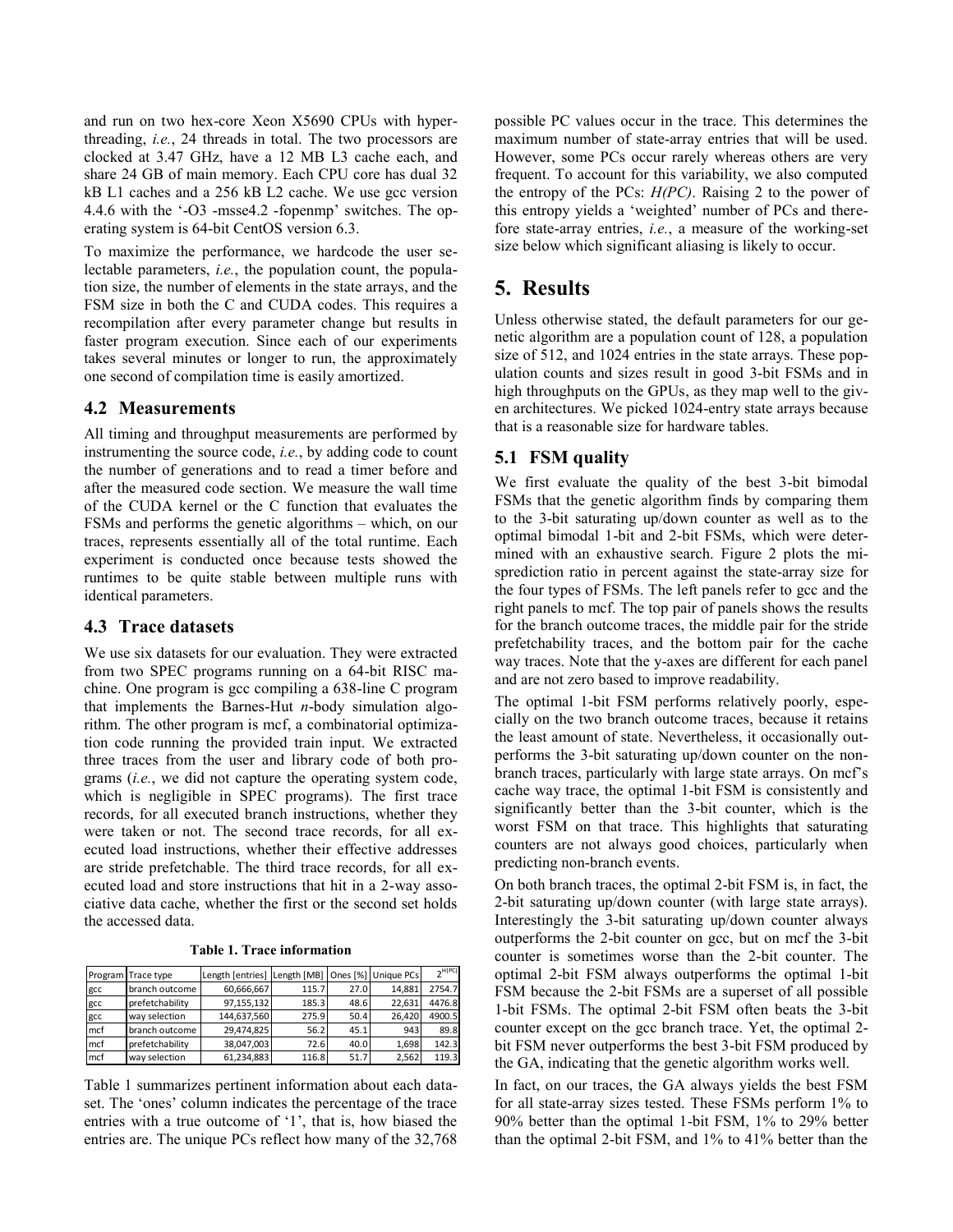and run on two hex-core Xeon X5690 CPUs with hyperthreading, *i.e.*, 24 threads in total. The two processors are clocked at 3.47 GHz, have a 12 MB L3 cache each, and share 24 GB of main memory. Each CPU core has dual 32 kB L1 caches and a 256 kB L2 cache. We use gcc version 4.4.6 with the '-O3 -msse4.2 -fopenmp' switches. The operating system is 64-bit CentOS version 6.3.

To maximize the performance, we hardcode the user selectable parameters, *i.e.*, the population count, the population size, the number of elements in the state arrays, and the FSM size in both the C and CUDA codes. This requires a recompilation after every parameter change but results in faster program execution. Since each of our experiments takes several minutes or longer to run, the approximately one second of compilation time is easily amortized.

#### **4.2 Measurements**

All timing and throughput measurements are performed by instrumenting the source code, *i.e.*, by adding code to count the number of generations and to read a timer before and after the measured code section. We measure the wall time of the CUDA kernel or the C function that evaluates the FSMs and performs the genetic algorithms – which, on our traces, represents essentially all of the total runtime. Each experiment is conducted once because tests showed the runtimes to be quite stable between multiple runs with identical parameters.

#### **4.3 Trace datasets**

We use six datasets for our evaluation. They were extracted from two SPEC programs running on a 64-bit RISC machine. One program is gcc compiling a 638-line C program that implements the Barnes-Hut *n*-body simulation algorithm. The other program is mcf, a combinatorial optimization code running the provided train input. We extracted three traces from the user and library code of both programs (*i.e.*, we did not capture the operating system code, which is negligible in SPEC programs). The first trace records, for all executed branch instructions, whether they were taken or not. The second trace records, for all executed load instructions, whether their effective addresses are stride prefetchable. The third trace records, for all executed load and store instructions that hit in a 2-way associative data cache, whether the first or the second set holds the accessed data.

**Table 1. Trace information**

<span id="page-3-0"></span>

|     | Program Trace type | Length [entries] | Length [MB] |      | Ones [%] Unique PCs | $\neg H(PC)$ |
|-----|--------------------|------------------|-------------|------|---------------------|--------------|
| gcc | branch outcome     | 60,666,667       | 115.7       | 27.0 | 14,881              | 2754.7       |
| gcc | prefetchability    | 97,155,132       | 185.3       | 48.6 | 22,631              | 4476.8       |
| gcc | way selection      | 144,637,560      | 275.9       | 50.4 | 26.420              | 4900.5       |
| mcf | branch outcome     | 29,474,825       | 56.2        | 45.1 | 943                 | 89.8         |
| mcf | prefetchability    | 38,047,003       | 72.6        | 40.0 | 1,698               | 142.3        |
| mcf | way selection      | 61,234,883       | 116.8       | 51.7 | 2,562               | 119.3        |

[Table 1](#page-3-0) summarizes pertinent information about each dataset. The 'ones' column indicates the percentage of the trace entries with a true outcome of '1', that is, how biased the entries are. The unique PCs reflect how many of the 32,768 possible PC values occur in the trace. This determines the maximum number of state-array entries that will be used. However, some PCs occur rarely whereas others are very frequent. To account for this variability, we also computed the entropy of the PCs: *H(PC)*. Raising 2 to the power of this entropy yields a 'weighted' number of PCs and therefore state-array entries, *i.e.*, a measure of the working-set size below which significant aliasing is likely to occur.

## **5. Results**

Unless otherwise stated, the default parameters for our genetic algorithm are a population count of 128, a population size of 512, and 1024 entries in the state arrays. These population counts and sizes result in good 3-bit FSMs and in high throughputs on the GPUs, as they map well to the given architectures. We picked 1024-entry state arrays because that is a reasonable size for hardware tables.

### **5.1 FSM quality**

We first evaluate the quality of the best 3-bit bimodal FSMs that the genetic algorithm finds by comparing them to the 3-bit saturating up/down counter as well as to the optimal bimodal 1-bit and 2-bit FSMs, which were determined with an exhaustive search. [Figure 2](#page-4-0) plots the misprediction ratio in percent against the state-array size for the four types of FSMs. The left panels refer to gcc and the right panels to mcf. The top pair of panels shows the results for the branch outcome traces, the middle pair for the stride prefetchability traces, and the bottom pair for the cache way traces. Note that the y-axes are different for each panel and are not zero based to improve readability.

The optimal 1-bit FSM performs relatively poorly, especially on the two branch outcome traces, because it retains the least amount of state. Nevertheless, it occasionally outperforms the 3-bit saturating up/down counter on the nonbranch traces, particularly with large state arrays. On mcf's cache way trace, the optimal 1-bit FSM is consistently and significantly better than the 3-bit counter, which is the worst FSM on that trace. This highlights that saturating counters are not always good choices, particularly when predicting non-branch events.

On both branch traces, the optimal 2-bit FSM is, in fact, the 2-bit saturating up/down counter (with large state arrays). Interestingly the 3-bit saturating up/down counter always outperforms the 2-bit counter on gcc, but on mcf the 3-bit counter is sometimes worse than the 2-bit counter. The optimal 2-bit FSM always outperforms the optimal 1-bit FSM because the 2-bit FSMs are a superset of all possible 1-bit FSMs. The optimal 2-bit FSM often beats the 3-bit counter except on the gcc branch trace. Yet, the optimal 2 bit FSM never outperforms the best 3-bit FSM produced by the GA, indicating that the genetic algorithm works well. Exam Trace type Length [entries] Length [MB] Ones [%] Unique PCs  $2^{n\times n}$  optimal 2-bit FSM always outperforms the optimal 1-bit  $\frac{gc}{SC}$  Length [60,66667 115.7 2.520 14.881.2754.27 185.3 48.5 22.531 4476.8 are a supers

In fact, on our traces, the GA always yields the best FSM for all state-array sizes tested. These FSMs perform 1% to 90% better than the optimal 1-bit FSM, 1% to 29% better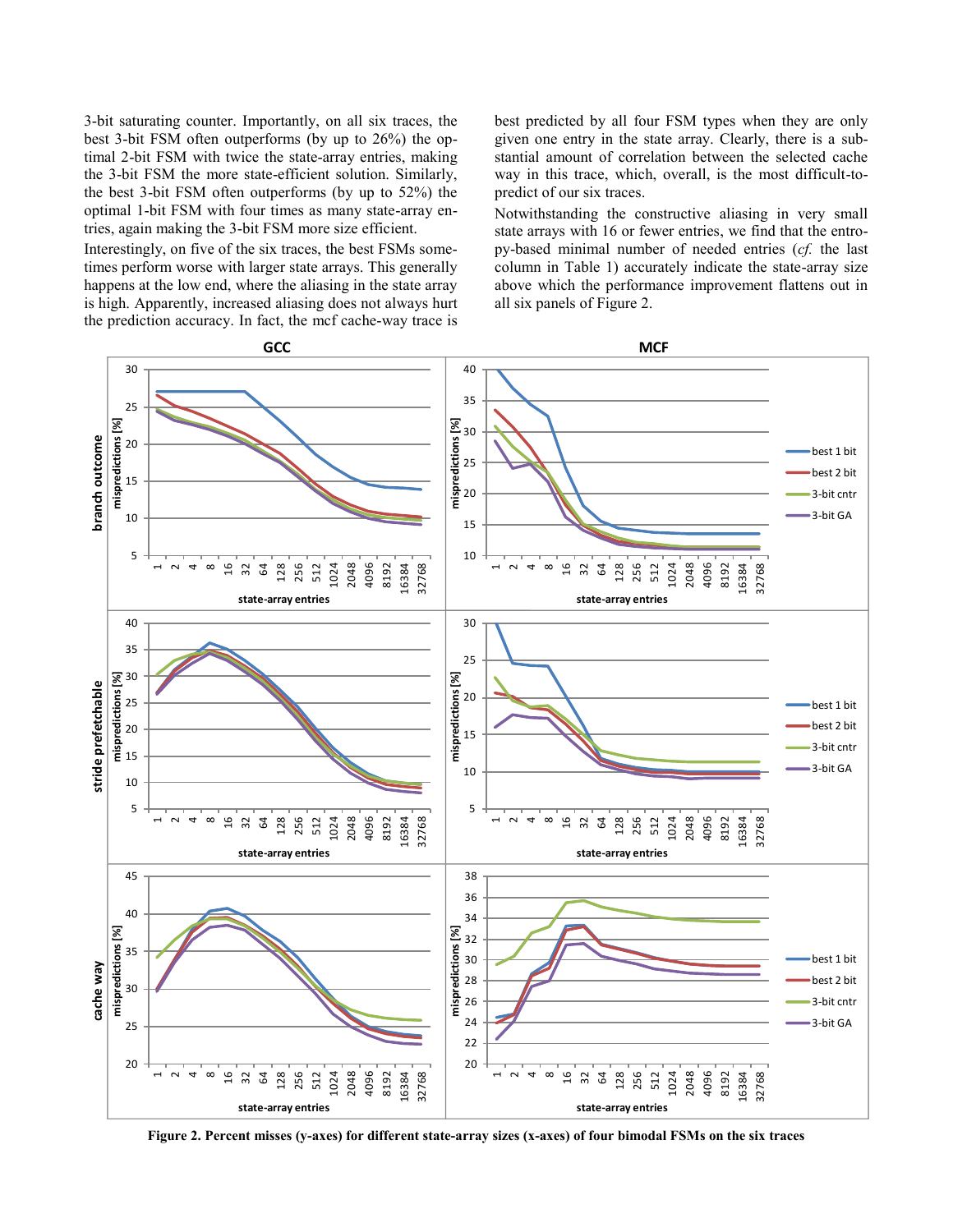3-bit saturating counter. Importantly, on all six traces, the best 3-bit FSM often outperforms (by up to 26%) the optimal 2-bit FSM with twice the state-array entries, making the 3-bit FSM the more state-efficient solution. Similarly, the best 3-bit FSM often outperforms (by up to 52%) the optimal 1-bit FSM with four times as many state-array entries, again making the 3-bit FSM more size efficient.

Interestingly, on five of the six traces, the best FSMs sometimes perform worse with larger state arrays. This generally happens at the low end, where the aliasing in the state array is high. Apparently, increased aliasing does not always hurt the prediction accuracy. In fact, the mcf cache-way trace is

best predicted by all four FSM types when they are only given one entry in the state array. Clearly, there is a substantial amount of correlation between the selected cache way in this trace, which, overall, is the most difficult-topredict of our six traces.

Notwithstanding the constructive aliasing in very small state arrays with 16 or fewer entries, we find that the entropy-based minimal number of needed entries (*cf.* the last column in [Table 1\)](#page-3-0) accurately indicate the state-array size above which the performance improvement flattens out in all six panels of [Figure 2.](#page-4-0)



<span id="page-4-0"></span>**Figure 2. Percent misses (y-axes) for different state-array sizes (x-axes) of four bimodal FSMs on the six traces**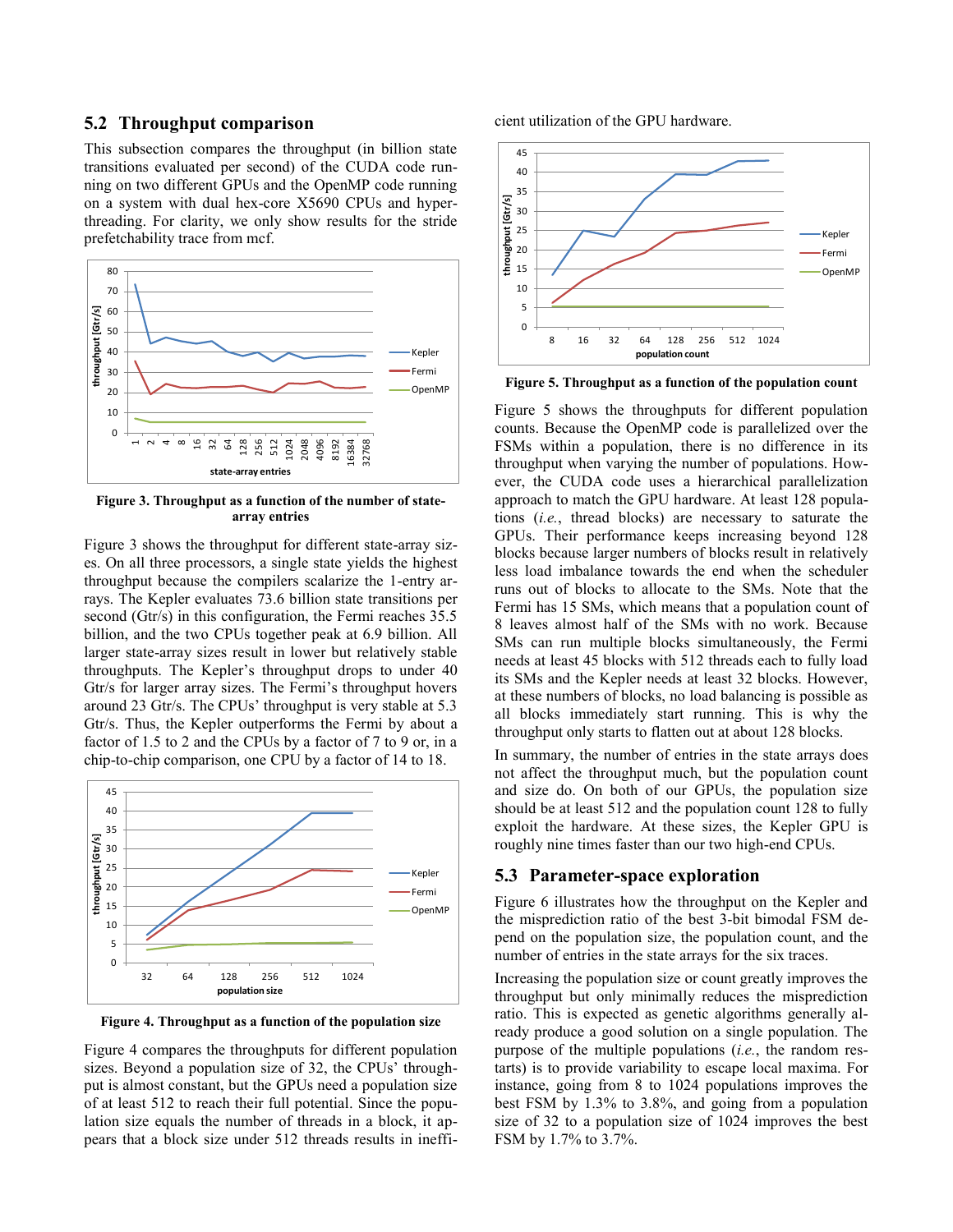#### **5.2 Throughput comparison**

This subsection compares the throughput (in billion state transitions evaluated per second) of the CUDA code running on two different GPUs and the OpenMP code running on a system with dual hex-core X5690 CPUs and hyperthreading. For clarity, we only show results for the stride prefetchability trace from mcf.



<span id="page-5-0"></span>**Figure 3. Throughput as a function of the number of statearray entries**

[Figure 3](#page-5-0) shows the throughput for different state-array sizes. On all three processors, a single state yields the highest throughput because the compilers scalarize the 1-entry arrays. The Kepler evaluates 73.6 billion state transitions per second (Gtr/s) in this configuration, the Fermi reaches 35.5 billion, and the two CPUs together peak at 6.9 billion. All larger state-array sizes result in lower but relatively stable throughputs. The Kepler's throughput drops to under 40 Gtr/s for larger array sizes. The Fermi's throughput hovers around 23 Gtr/s. The CPUs' throughput is very stable at 5.3 Gtr/s. Thus, the Kepler outperforms the Fermi by about a factor of 1.5 to 2 and the CPUs by a factor of 7 to 9 or, in a chip-to-chip comparison, one CPU by a factor of 14 to 18.



<span id="page-5-1"></span>**Figure 4. Throughput as a function of the population size**

[Figure 4](#page-5-1) compares the throughputs for different population sizes. Beyond a population size of 32, the CPUs' throughput is almost constant, but the GPUs need a population size of at least 512 to reach their full potential. Since the population size equals the number of threads in a block, it appears that a block size under 512 threads results in inefficient utilization of the GPU hardware.



<span id="page-5-2"></span>**Figure 5. Throughput as a function of the population count**

[Figure 5](#page-5-2) shows the throughputs for different population counts. Because the OpenMP code is parallelized over the FSMs within a population, there is no difference in its throughput when varying the number of populations. However, the CUDA code uses a hierarchical parallelization approach to match the GPU hardware. At least 128 populations (*i.e.*, thread blocks) are necessary to saturate the GPUs. Their performance keeps increasing beyond 128 blocks because larger numbers of blocks result in relatively less load imbalance towards the end when the scheduler runs out of blocks to allocate to the SMs. Note that the Fermi has 15 SMs, which means that a population count of 8 leaves almost half of the SMs with no work. Because SMs can run multiple blocks simultaneously, the Fermi needs at least 45 blocks with 512 threads each to fully load its SMs and the Kepler needs at least 32 blocks. However, at these numbers of blocks, no load balancing is possible as all blocks immediately start running. This is why the throughput only starts to flatten out at about 128 blocks.

In summary, the number of entries in the state arrays does not affect the throughput much, but the population count and size do. On both of our GPUs, the population size should be at least 512 and the population count 128 to fully exploit the hardware. At these sizes, the Kepler GPU is roughly nine times faster than our two high-end CPUs.

#### **5.3 Parameter-space exploration**

[Figure 6](#page-6-0) illustrates how the throughput on the Kepler and the misprediction ratio of the best 3-bit bimodal FSM depend on the population size, the population count, and the number of entries in the state arrays for the six traces.

Increasing the population size or count greatly improves the throughput but only minimally reduces the misprediction ratio. This is expected as genetic algorithms generally already produce a good solution on a single population. The purpose of the multiple populations (*i.e.*, the random restarts) is to provide variability to escape local maxima. For instance, going from 8 to 1024 populations improves the best FSM by 1.3% to 3.8%, and going from a population size of 32 to a population size of 1024 improves the best FSM by 1.7% to 3.7%.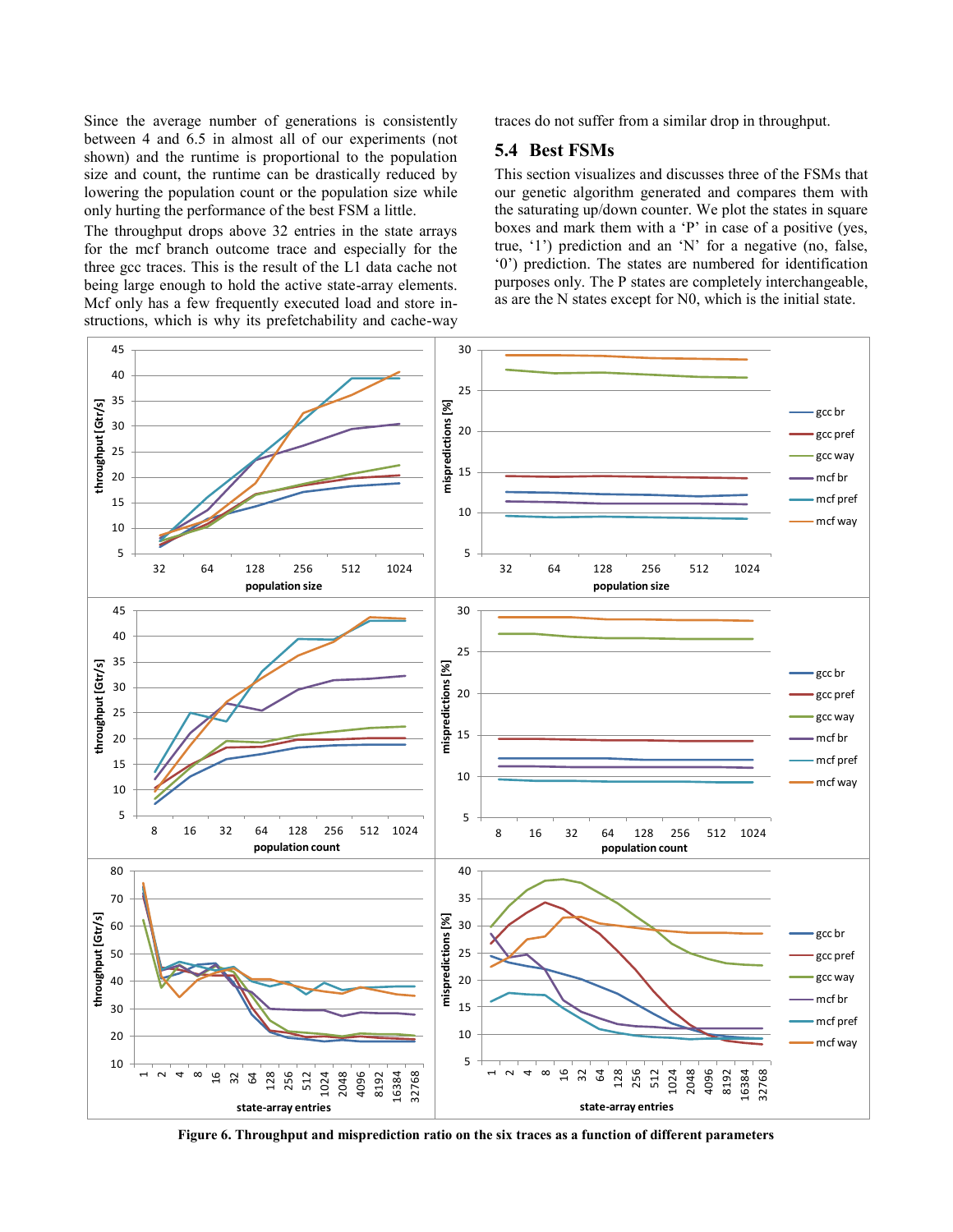Since the average number of generations is consistently between 4 and 6.5 in almost all of our experiments (not shown) and the runtime is proportional to the population size and count, the runtime can be drastically reduced by lowering the population count or the population size while only hurting the performance of the best FSM a little.

The throughput drops above 32 entries in the state arrays for the mcf branch outcome trace and especially for the three gcc traces. This is the result of the L1 data cache not being large enough to hold the active state-array elements. Mcf only has a few frequently executed load and store instructions, which is why its prefetchability and cache-way  $\frac{1}{2}$  9  $\frac{1}{2}$  01<br>tid  $\frac{1}{45}$  40

traces do not suffer from a similar drop in throughput.

#### **5.4 Best FSMs**

This section visualizes and discusses three of the FSMs that our genetic algorithm generated and compares them with the saturating up/down counter. We plot the states in square boxes and mark them with a 'P' in case of a positive (yes, true, '1') prediction and an 'N' for a negative (no, false, '0') prediction. The states are numbered for identification purposes only. The P states are completely interchangeable, as are the N states except for N0, which is the initial state.



<span id="page-6-0"></span>**Figure 6. Throughput and misprediction ratio on the six traces as a function of different parameters**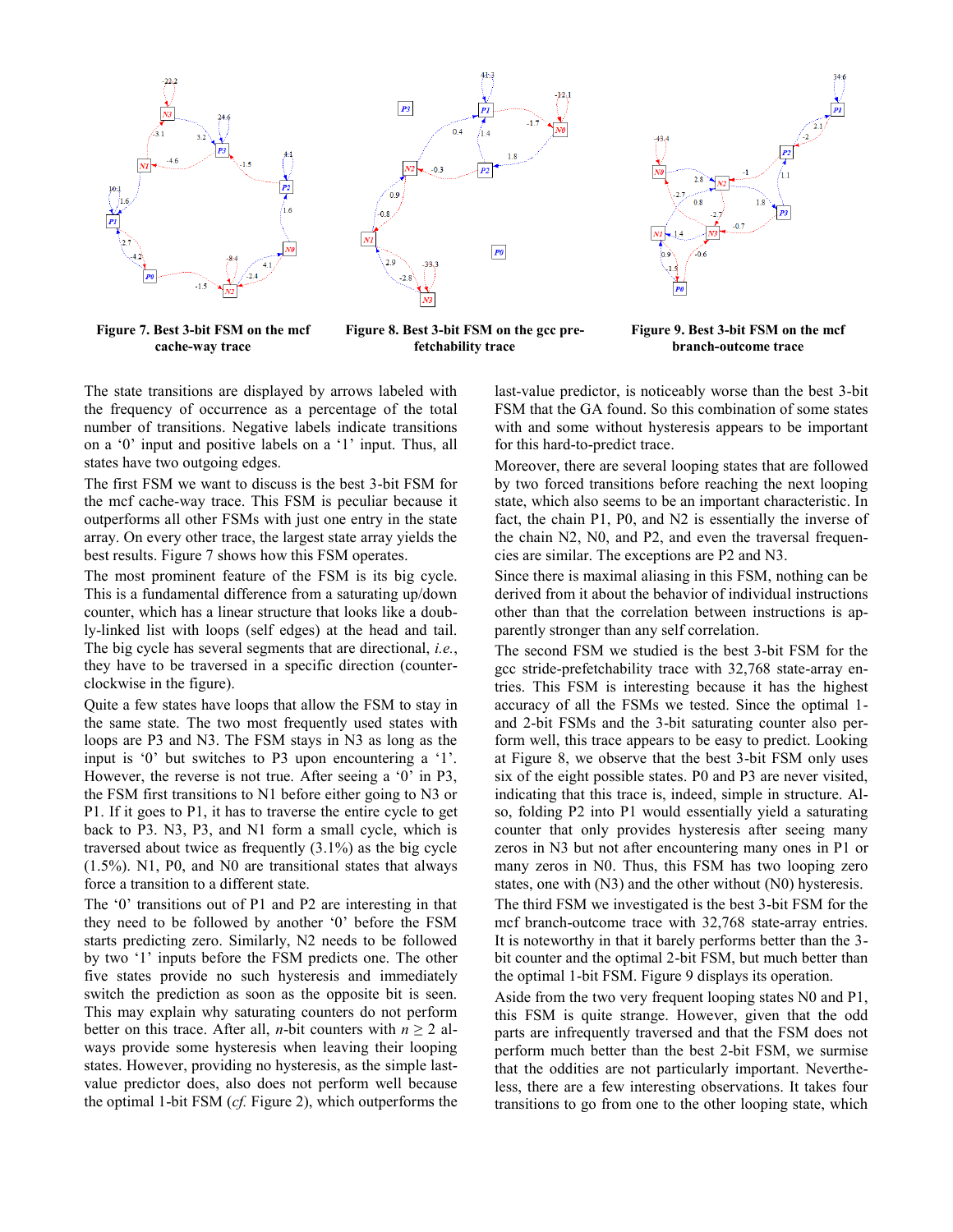



 $P_0$ 

<span id="page-7-0"></span>**Figure 7. Best 3-bit FSM on the mcf cache-way trace**

<span id="page-7-1"></span>**Figure 8. Best 3-bit FSM on the gcc prefetchability trace**

**Figure 9. Best 3-bit FSM on the mcf branch-outcome trace**

The state transitions are displayed by arrows labeled with the frequency of occurrence as a percentage of the total number of transitions. Negative labels indicate transitions on a '0' input and positive labels on a '1' input. Thus, all states have two outgoing edges.

The first FSM we want to discuss is the best 3-bit FSM for the mcf cache-way trace. This FSM is peculiar because it outperforms all other FSMs with just one entry in the state array. On every other trace, the largest state array yields the best results[. Figure 7](#page-7-0) shows how this FSM operates.

The most prominent feature of the FSM is its big cycle. This is a fundamental difference from a saturating up/down counter, which has a linear structure that looks like a doubly-linked list with loops (self edges) at the head and tail. The big cycle has several segments that are directional, *i.e.*, they have to be traversed in a specific direction (counterclockwise in the figure).

Quite a few states have loops that allow the FSM to stay in the same state. The two most frequently used states with loops are P3 and N3. The FSM stays in N3 as long as the input is '0' but switches to P3 upon encountering a '1'. However, the reverse is not true. After seeing a '0' in P3, the FSM first transitions to N1 before either going to N3 or P1. If it goes to P1, it has to traverse the entire cycle to get back to P3. N3, P3, and N1 form a small cycle, which is traversed about twice as frequently (3.1%) as the big cycle (1.5%). N1, P0, and N0 are transitional states that always force a transition to a different state.

The '0' transitions out of P1 and P2 are interesting in that they need to be followed by another '0' before the FSM starts predicting zero. Similarly, N2 needs to be followed by two '1' inputs before the FSM predicts one. The other five states provide no such hysteresis and immediately switch the prediction as soon as the opposite bit is seen. This may explain why saturating counters do not perform better on this trace. After all, *n*-bit counters with  $n \geq 2$  always provide some hysteresis when leaving their looping states. However, providing no hysteresis, as the simple lastvalue predictor does, also does not perform well because the optimal 1-bit FSM (*cf.* [Figure 2\)](#page-4-0), which outperforms the last-value predictor, is noticeably worse than the best 3-bit FSM that the GA found. So this combination of some states with and some without hysteresis appears to be important for this hard-to-predict trace.

Moreover, there are several looping states that are followed by two forced transitions before reaching the next looping state, which also seems to be an important characteristic. In fact, the chain P1, P0, and N2 is essentially the inverse of the chain N2, N0, and P2, and even the traversal frequencies are similar. The exceptions are P2 and N3.

Since there is maximal aliasing in this FSM, nothing can be derived from it about the behavior of individual instructions other than that the correlation between instructions is apparently stronger than any self correlation.

The second FSM we studied is the best 3-bit FSM for the gcc stride-prefetchability trace with 32,768 state-array entries. This FSM is interesting because it has the highest accuracy of all the FSMs we tested. Since the optimal 1 and 2-bit FSMs and the 3-bit saturating counter also perform well, this trace appears to be easy to predict. Looking at [Figure 8,](#page-7-1) we observe that the best 3-bit FSM only uses six of the eight possible states. P0 and P3 are never visited, indicating that this trace is, indeed, simple in structure. Also, folding P2 into P1 would essentially yield a saturating counter that only provides hysteresis after seeing many zeros in N3 but not after encountering many ones in P1 or many zeros in N0. Thus, this FSM has two looping zero states, one with (N3) and the other without (N0) hysteresis.

The third FSM we investigated is the best 3-bit FSM for the mcf branch-outcome trace with 32,768 state-array entries. It is noteworthy in that it barely performs better than the 3 bit counter and the optimal 2-bit FSM, but much better than the optimal 1-bit FSM. Figure 9 displays its operation.

Aside from the two very frequent looping states N0 and P1, this FSM is quite strange. However, given that the odd parts are infrequently traversed and that the FSM does not perform much better than the best 2-bit FSM, we surmise that the oddities are not particularly important. Nevertheless, there are a few interesting observations. It takes four transitions to go from one to the other looping state, which